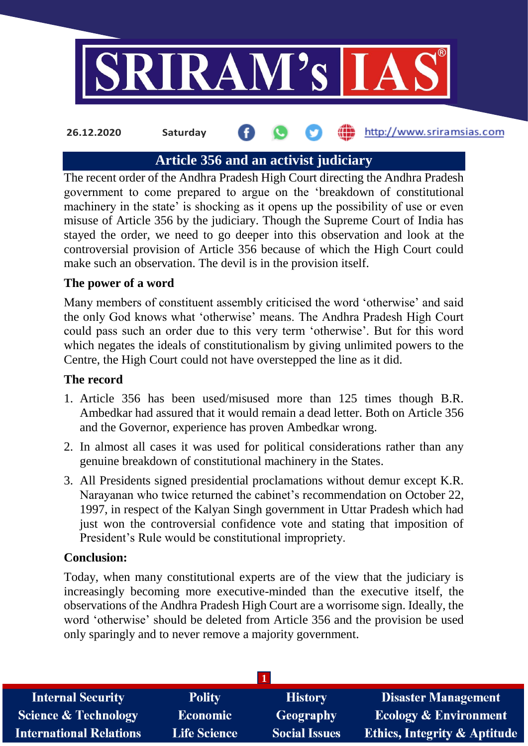

#### http://www.sriramsias.com **26.12.2020 Saturday**

## **Article 356 and an activist judiciary**

The recent order of the Andhra Pradesh High Court directing the Andhra Pradesh government to come prepared to argue on the 'breakdown of constitutional machinery in the state' is shocking as it opens up the possibility of use or even misuse of Article 356 by the judiciary. Though the Supreme Court of India has stayed the order, we need to go deeper into this observation and look at the controversial provision of Article 356 because of which the High Court could make such an observation. The devil is in the provision itself.

#### **The power of a word**

Many members of constituent assembly criticised the word 'otherwise' and said the only God knows what 'otherwise' means. The Andhra Pradesh High Court could pass such an order due to this very term 'otherwise'. But for this word which negates the ideals of constitutionalism by giving unlimited powers to the Centre, the High Court could not have overstepped the line as it did.

#### **The record**

- 1. Article 356 has been used/misused more than 125 times though B.R. Ambedkar had assured that it would remain a dead letter. Both on Article 356 and the Governor, experience has proven Ambedkar wrong.
- 2. In almost all cases it was used for political considerations rather than any genuine breakdown of constitutional machinery in the States.
- 3. All Presidents signed presidential proclamations without demur except K.R. Narayanan who twice returned the cabinet's recommendation on October 22, 1997, in respect of the Kalyan Singh government in Uttar Pradesh which had just won the controversial confidence vote and stating that imposition of President's Rule would be constitutional impropriety.

#### **Conclusion:**

Today, when many constitutional experts are of the view that the judiciary is increasingly becoming more executive-minded than the executive itself, the observations of the Andhra Pradesh High Court are a worrisome sign. Ideally, the word 'otherwise' should be deleted from Article 356 and the provision be used only sparingly and to never remove a majority government.

| <b>Internal Security</b>        | <b>Polity</b>       | <b>History</b>       | <b>Disaster Management</b>              |
|---------------------------------|---------------------|----------------------|-----------------------------------------|
| <b>Science &amp; Technology</b> | <b>Economic</b>     | <b>Geography</b>     | <b>Ecology &amp; Environment</b>        |
| <b>International Relations</b>  | <b>Life Science</b> | <b>Social Issues</b> | <b>Ethics, Integrity &amp; Aptitude</b> |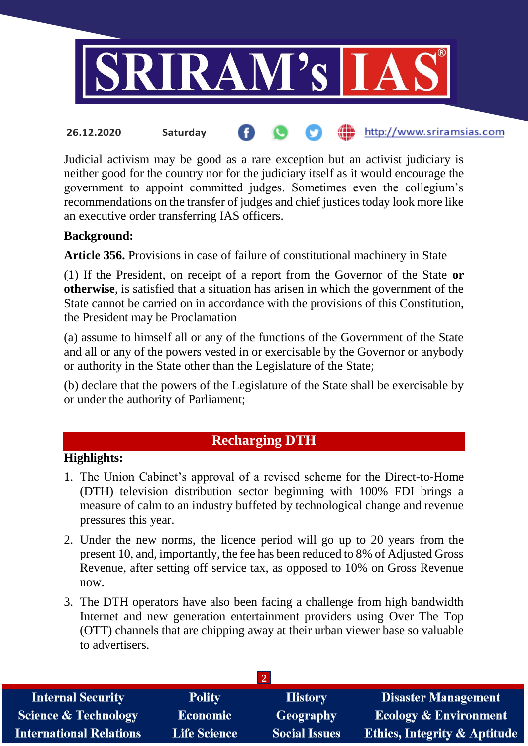

Judicial activism may be good as a rare exception but an activist judiciary is neither good for the country nor for the judiciary itself as it would encourage the government to appoint committed judges. Sometimes even the collegium's recommendations on the transfer of judges and chief justices today look more like an executive order transferring IAS officers.

## **Background:**

**Article 356.** Provisions in case of failure of constitutional machinery in State

(1) If the President, on receipt of a report from the Governor of the State **or otherwise**, is satisfied that a situation has arisen in which the government of the State cannot be carried on in accordance with the provisions of this Constitution, the President may be Proclamation

(a) assume to himself all or any of the functions of the Government of the State and all or any of the powers vested in or exercisable by the Governor or anybody or authority in the State other than the Legislature of the State;

(b) declare that the powers of the Legislature of the State shall be exercisable by or under the authority of Parliament;

## **Recharging DTH**

## **Highlights:**

- 1. The Union Cabinet's approval of a revised scheme for the Direct-to-Home (DTH) television distribution sector beginning with 100% FDI brings a measure of calm to an industry buffeted by technological change and revenue pressures this year.
- 2. Under the new norms, the licence period will go up to 20 years from the present 10, and, importantly, the fee has been reduced to 8% of Adjusted Gross Revenue, after setting off service tax, as opposed to 10% on Gross Revenue now.
- 3. The DTH operators have also been facing a challenge from high bandwidth Internet and new generation entertainment providers using Over The Top (OTT) channels that are chipping away at their urban viewer base so valuable to advertisers.

| <b>Disaster Management</b>              |  |  |  |  |  |
|-----------------------------------------|--|--|--|--|--|
| <b>Ecology &amp; Environment</b>        |  |  |  |  |  |
| <b>Ethics, Integrity &amp; Aptitude</b> |  |  |  |  |  |
|                                         |  |  |  |  |  |